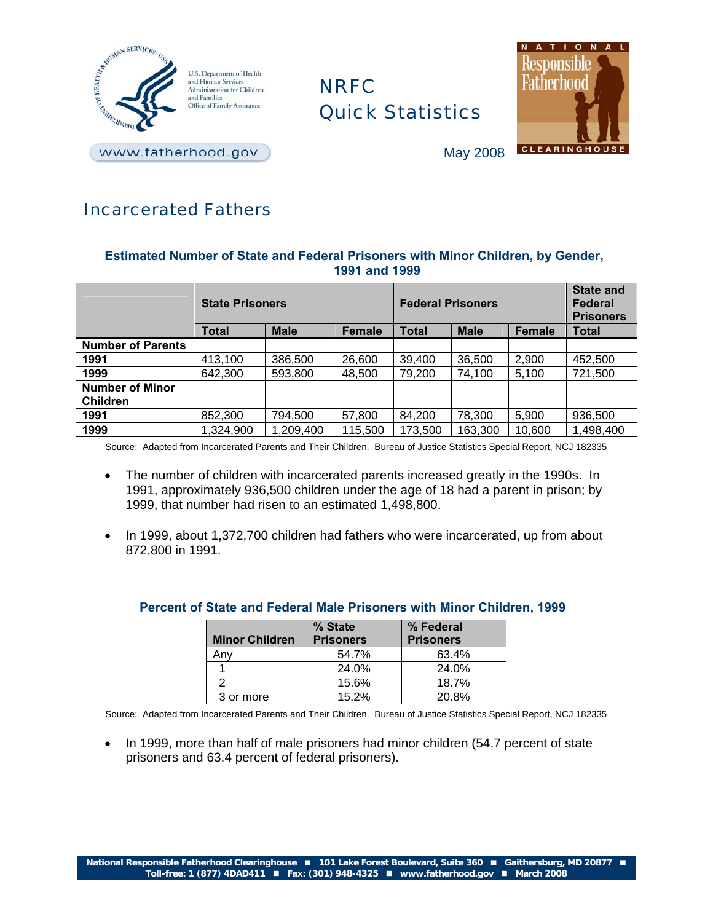

# NRFC Quick Statistics



May 2008

# Incarcerated Fathers

# **Estimated Number of State and Federal Prisoners with Minor Children, by Gender, 1991 and 1999**

|                          | <b>State Prisoners</b> |             |               | <b>Federal Prisoners</b> |             |               | <b>State and</b><br><b>Federal</b><br><b>Prisoners</b> |
|--------------------------|------------------------|-------------|---------------|--------------------------|-------------|---------------|--------------------------------------------------------|
|                          | <b>Total</b>           | <b>Male</b> | <b>Female</b> | <b>Total</b>             | <b>Male</b> | <b>Female</b> | Total                                                  |
| <b>Number of Parents</b> |                        |             |               |                          |             |               |                                                        |
| 1991                     | 413,100                | 386,500     | 26,600        | 39,400                   | 36,500      | 2,900         | 452,500                                                |
| 1999                     | 642,300                | 593,800     | 48,500        | 79,200                   | 74,100      | 5,100         | 721,500                                                |
| <b>Number of Minor</b>   |                        |             |               |                          |             |               |                                                        |
| <b>Children</b>          |                        |             |               |                          |             |               |                                                        |
| 1991                     | 852,300                | 794,500     | 57,800        | 84,200                   | 78,300      | 5,900         | 936,500                                                |
| 1999                     | 1,324,900              | 1,209,400   | 115,500       | 173,500                  | 163,300     | 10,600        | 1,498,400                                              |

Source: Adapted from Incarcerated Parents and Their Children. Bureau of Justice Statistics Special Report, NCJ 182335

- The number of children with incarcerated parents increased greatly in the 1990s. In 1991, approximately 936,500 children under the age of 18 had a parent in prison; by 1999, that number had risen to an estimated 1,498,800.
- In 1999, about 1,372,700 children had fathers who were incarcerated, up from about 872,800 in 1991.

| <b>Minor Children</b> | % State<br><b>Prisoners</b> | % Federal<br><b>Prisoners</b> |
|-----------------------|-----------------------------|-------------------------------|
| Anv                   | 54.7%                       | 63.4%                         |
|                       | 24.0%                       | 24.0%                         |
|                       | 15.6%                       | 18.7%                         |
| 3 or more             | 15.2%                       | 20.8%                         |

## **Percent of State and Federal Male Prisoners with Minor Children, 1999**

Source: Adapted from Incarcerated Parents and Their Children. Bureau of Justice Statistics Special Report, NCJ 182335

 In 1999, more than half of male prisoners had minor children (54.7 percent of state prisoners and 63.4 percent of federal prisoners).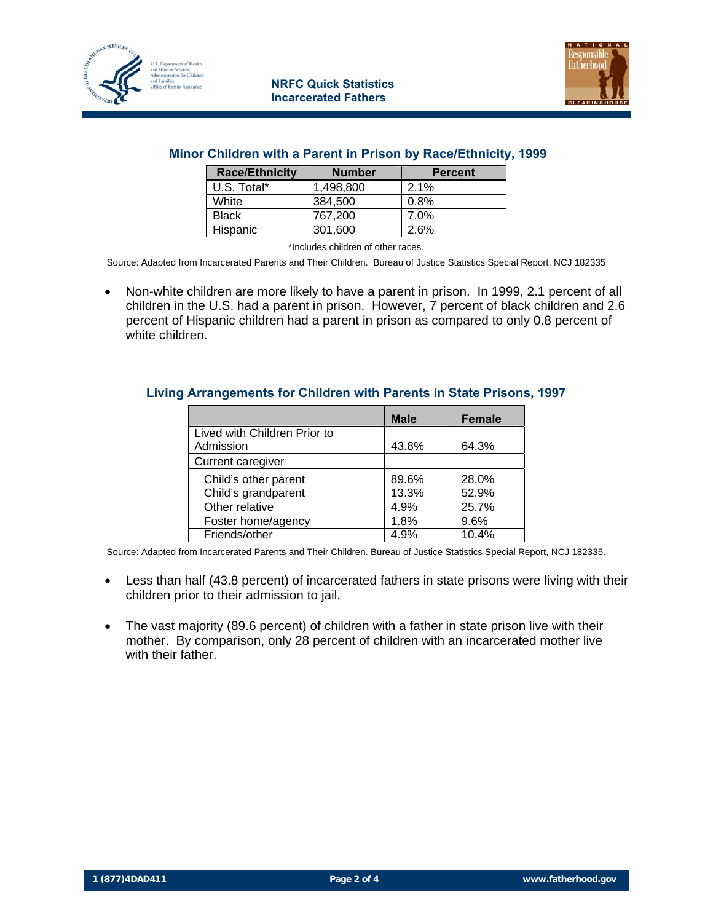



### **Minor Children with a Parent in Prison by Race/Ethnicity, 1999**

| <b>Race/Ethnicity</b> | <b>Number</b> | <b>Percent</b> |  |
|-----------------------|---------------|----------------|--|
| U.S. Total*           | 1.498.800     | 2.1%           |  |
| White                 | 384.500       | 0.8%           |  |
| <b>Black</b>          | 767.200       | 7.0%           |  |
| Hispanic              | 301,600       | 2.6%           |  |

\*Includes children of other races.

Source: Adapted from Incarcerated Parents and Their Children. Bureau of Justice Statistics Special Report, NCJ 182335

 Non-white children are more likely to have a parent in prison. In 1999, 2.1 percent of all children in the U.S. had a parent in prison. However, 7 percent of black children and 2.6 percent of Hispanic children had a parent in prison as compared to only 0.8 percent of white children.

#### **Living Arrangements for Children with Parents in State Prisons, 1997**

|                              | <b>Male</b> | <b>Female</b> |
|------------------------------|-------------|---------------|
| Lived with Children Prior to |             |               |
| Admission                    | 43.8%       | 64.3%         |
| Current caregiver            |             |               |
| Child's other parent         | 89.6%       | 28.0%         |
| Child's grandparent          | 13.3%       | 52.9%         |
| Other relative               | 4.9%        | 25.7%         |
| Foster home/agency           | 1.8%        | 9.6%          |
| Friends/other                | 4.9%        | 10.4%         |

Source: Adapted from Incarcerated Parents and Their Children. Bureau of Justice Statistics Special Report, NCJ 182335.

- Less than half (43.8 percent) of incarcerated fathers in state prisons were living with their children prior to their admission to jail.
- The vast majority (89.6 percent) of children with a father in state prison live with their mother. By comparison, only 28 percent of children with an incarcerated mother live with their father.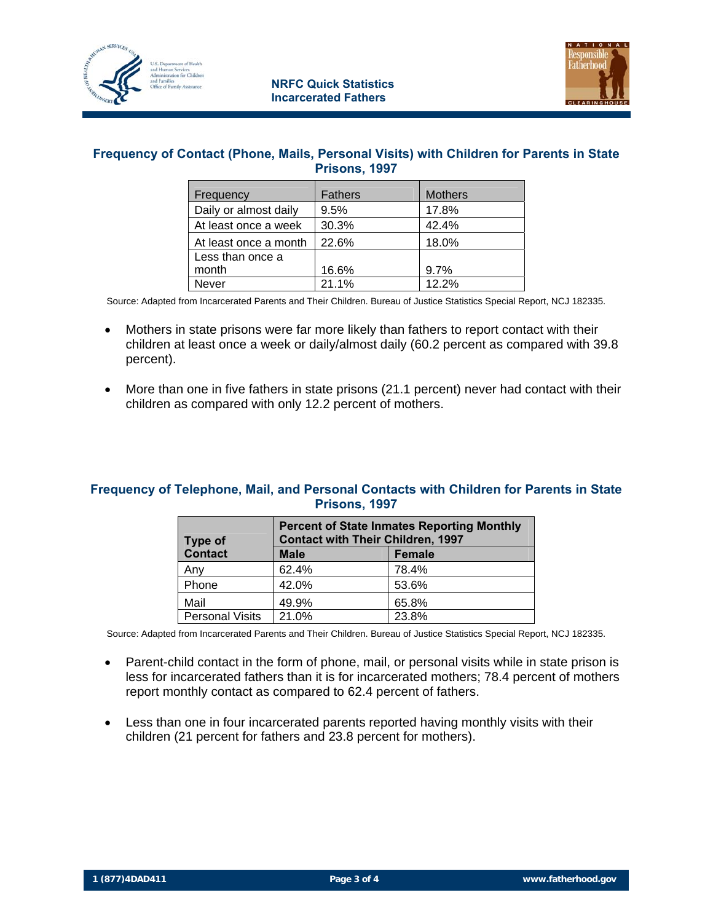



# **Frequency of Contact (Phone, Mails, Personal Visits) with Children for Parents in State Prisons, 1997**

| Frequency             | Fathers | <b>Mothers</b> |
|-----------------------|---------|----------------|
| Daily or almost daily | 9.5%    | 17.8%          |
| At least once a week  | 30.3%   | 42.4%          |
| At least once a month | 22.6%   | 18.0%          |
| Less than once a      |         |                |
| month                 | 16.6%   | 9.7%           |
| <b>Never</b>          | 21.1%   | 12.2%          |

Source: Adapted from Incarcerated Parents and Their Children. Bureau of Justice Statistics Special Report, NCJ 182335.

- Mothers in state prisons were far more likely than fathers to report contact with their children at least once a week or daily/almost daily (60.2 percent as compared with 39.8 percent).
- More than one in five fathers in state prisons (21.1 percent) never had contact with their children as compared with only 12.2 percent of mothers.

# **Frequency of Telephone, Mail, and Personal Contacts with Children for Parents in State Prisons, 1997**

| Type of                | <b>Percent of State Inmates Reporting Monthly</b><br><b>Contact with Their Children, 1997</b> |       |  |  |  |
|------------------------|-----------------------------------------------------------------------------------------------|-------|--|--|--|
| Contact                | <b>Male</b><br><b>Female</b>                                                                  |       |  |  |  |
| Any                    | 62.4%                                                                                         | 78.4% |  |  |  |
| Phone                  | 42.0%                                                                                         | 53.6% |  |  |  |
| Mail                   | 49.9%                                                                                         | 65.8% |  |  |  |
| <b>Personal Visits</b> | 21.0%                                                                                         | 23.8% |  |  |  |

Source: Adapted from Incarcerated Parents and Their Children. Bureau of Justice Statistics Special Report, NCJ 182335.

- Parent-child contact in the form of phone, mail, or personal visits while in state prison is less for incarcerated fathers than it is for incarcerated mothers; 78.4 percent of mothers report monthly contact as compared to 62.4 percent of fathers.
- Less than one in four incarcerated parents reported having monthly visits with their children (21 percent for fathers and 23.8 percent for mothers).